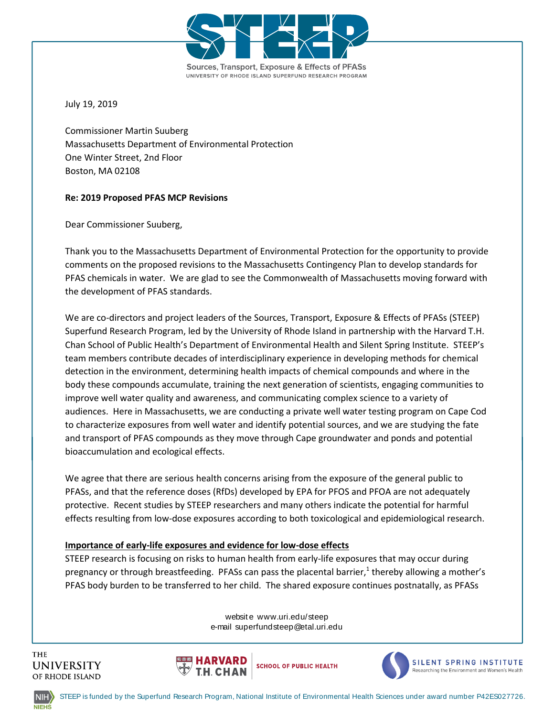

July 19, 2019

Commissioner Martin Suuberg Massachusetts Department of Environmental Protection One Winter Street, 2nd Floor Boston, MA 02108

# **Re: 2019 Proposed PFAS MCP Revisions**

Dear Commissioner Suuberg,

Thank you to the Massachusetts Department of Environmental Protection for the opportunity to provide comments on the proposed revisions to the Massachusetts Contingency Plan to develop standards for PFAS chemicals in water. We are glad to see the Commonwealth of Massachusetts moving forward with the development of PFAS standards.

We are co-directors and project leaders of the Sources, Transport, Exposure & Effects of PFASs (STEEP) Superfund Research Program, led by the University of Rhode Island in partnership with the Harvard T.H. Chan School of Public Health's Department of Environmental Health and Silent Spring Institute. STEEP's team members contribute decades of interdisciplinary experience in developing methods for chemical detection in the environment, determining health impacts of chemical compounds and where in the body these compounds accumulate, training the next generation of scientists, engaging communities to improve well water quality and awareness, and communicating complex science to a variety of audiences. Here in Massachusetts, we are conducting a private well water testing program on Cape Cod to characterize exposures from well water and identify potential sources, and we are studying the fate and transport of PFAS compounds as they move through Cape groundwater and ponds and potential bioaccumulation and ecological effects.

We agree that there are serious health concerns arising from the exposure of the general public to PFASs, and that the reference doses (RfDs) developed by EPA for PFOS and PFOA are not adequately protective. Recent studies by STEEP researchers and many others indicate the potential for harmful effects resulting from low-dose exposures according to both toxicological and epidemiological research.

**Importance of early-life exposures and evidence for low-dose effects**<br>STEEP research is focusing on risks to human health from early-life exp<br>pregnancy or through breastfeeding. PFASs can pass the placental bar<br>PFAS body pregnancy or through breastfeeding. PFASs can pass the placental barrie[r,](#page-4-0)<sup>1</sup> thereby allowing a mother's<br>PFAS body burden to be transferred to her child. The shared exposure continues postnatally, as PFASs<br>website www.uri. STEEP research is focusing on risks to human health from early-life exposures that may occur during PFAS body burden to be transferred to her child. The shared exposure continues postnatally, as PFASs







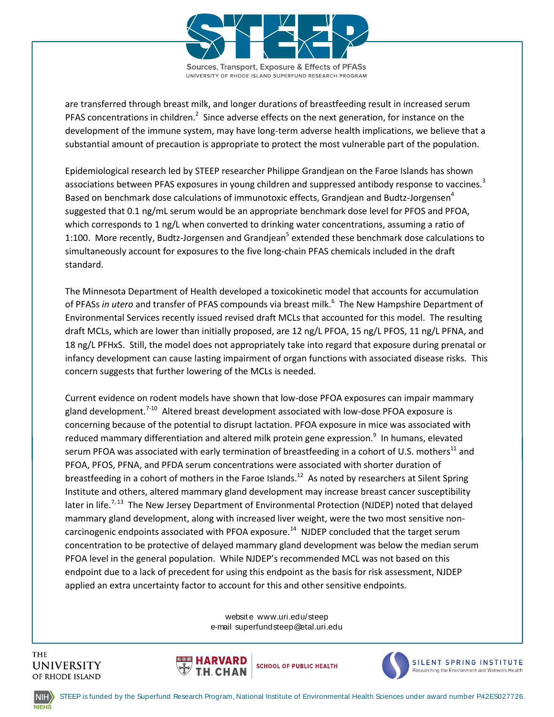

are transferred through breast milk, and longer durations of breastfeeding result in increased serum PFASconcentrations in children.<sup>2</sup> Since adverse effects on the next generation, for instance on the development of the immune system, may have long-term adverse health implications, we believe that a substantial amount of precaution is appropriate to protect the most vulnerable part of the population.

Epidemiological research led by STEEP researcher Philippe Grandjean on the Faroe Islands has shown associations between PFAS exposures in young children and suppressed antibody response to vaccines[.](#page-4-2)<sup>3</sup> Based o[n](#page-4-3) benchmark dose calculations of immunotoxic effects, Grandjean and Budtz-Jorgensen<sup>4</sup> suggested that 0.1 ng/mL serum would be an appropriate benchmark dose level for PFOS and PFOA, which corresponds to 1 ng/L when converted to drinking water concentrations, assuming a ratio of 1:100. More rece[n](#page-4-4)tly, Budtz-Jorgensen and Grandjean<sup>5</sup> extended these benchmark dose calculations to simultaneously account for exposures to the five long-chain PFAS chemicals included in the draft standard.

The Minnesota Department of Health developed a toxicokinetic model that accounts for accumulation of PFASs *in utero* and transfer of PFAS compounds via breast milk[.](#page-4-5)<sup>6</sup> The New Hampshire Department of Environmental Services recently issued revised draft MCLs that accounted for this model. The resulting draft MCLs, which are lower than initially proposed, are 12 ng/L PFOA, 15 ng/L PFOS, 11 ng/L PFNA, and 18 ng/L PFHxS. Still, the model does not appropriately take into regard that exposure during prenatal or infancy development can cause lasting impairment of organ functions with associated disease risks. This concern suggests that further lowering of the MCLs is needed.

ed mammary gland develoption<br>While NJDEP's recommend<br>using this endpoint as the<br>ccount for this and other s endpoint due to a lack of precedent for using this endpoint as the basis for risk assessment, NJDEP<br>applied an extra uncertainty factor to account for this and other sensitive endpoints.<br>website www.uri.edu/steep<br>e-mail su Current evidence on rodent models have shown that low-dose PFOA exposures can impair mammary gland development.<sup>[7-10](#page-4-6)</sup> Altered breast development associated with low-dose PFOA exposure is concerning because of the potential to disrupt lactation. PFOA exposure in mice was associated with reduced mammary differentiation and altered milk protein gene expression[.](#page-4-7)<sup>9</sup> In humans, elevated serum PFOA was associated with early termination of breastfeeding in a cohort of U.S. mothers<sup>[11](#page-4-8)</sup> and PFOA, PFOS, PFNA, and PFDA serum concentrations were associated with shorter duration of breastfeeding in a cohort of mothers in the Faroe Islands.<sup>[12](#page-4-9)</sup> As noted by researchers at Silent Spring Institute and others, altered mammary gland development may increase breast cancer susceptibility later in life.<sup>[7,](#page-4-6) [13](#page-4-10)</sup> The New Jersey Department of Environmental Protection (NJDEP) noted that delayed mammary gland development, along with increased liver weight, were the two most sensitive non-carcinogenic endpoints associated with PFOA exposure.<sup>[14](#page-4-11)</sup> NJDEP concluded that the target serum concentration to be protective of delayed mammary gland development was below the median serum PFOA level in the general population. While NJDEP's recommended MCL was not based on this applied an extra uncertainty factor to account for this and other sensitive endpoints.







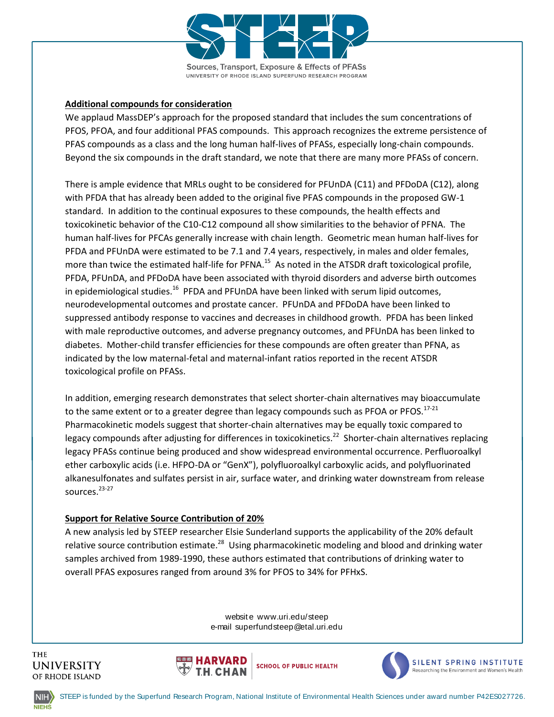

# **Additional compounds for consideration**

We applaud MassDEP's approach for the proposed standard that includes the sum concentrations of PFOS, PFOA, and four additional PFAS compounds. This approach recognizes the extreme persistence of PFAS compounds as a class and the long human half-lives of PFASs, especially long-chain compounds. Beyond the six compounds in the draft standard, we note that there are many more PFASs of concern.

There is ample evidence that MRLs ought to be considered for PFUnDA (C11) and PFDoDA (C12), along with PFDA that has already been added to the original five PFAS compounds in the proposed GW-1 standard. In addition to the continual exposures to these compounds, the health effects and toxicokinetic behavior of the C10-C12 compound all show similarities to the behavior of PFNA. The human half-lives for PFCAs generally increase with chain length. Geometric mean human half-lives for PFDA and PFUnDA were estimated to be 7.1 and 7.4 years, respectively, in males and older females, more than twice the estimated half-life for PFNA.<sup>[15](#page-5-0)</sup> As noted in the ATSDR draft toxicological profile, PFDA, PFUnDA, and PFDoDA have been associated with thyroid disorders and adverse birth outcomes in epidemiological studies.<sup>[16](#page-5-1)</sup> PFDA and PFUnDA have been linked with serum lipid outcomes, neurodevelopmental outcomes and prostate cancer. PFUnDA and PFDoDA have been linked to suppressed antibody response to vaccines and decreases in childhood growth. PFDA has been linked with male reproductive outcomes, and adverse pregnancy outcomes, and PFUnDA has been linked to diabetes. Mother-child transfer efficiencies for these compounds are often greater than PFNA, as indicated by the low maternal-fetal and maternal-infant ratios reported in the recent ATSDR toxicological profile on PFASs.

In addition, emerging research demonstrates that select shorter-chain alternatives may bioaccumulate to the same extent or to a greater degree than legacy compounds such as PFOA or PFOS.<sup>[17-21](#page-5-2)</sup> Pharmacokinetic models suggest that shorter-chain alternatives may be equally toxic compared to legacy compounds after adjusting for differences in toxicokinetics.<sup>[22](#page-5-3)</sup> Shorter-chain alternatives replacing legacy PFASs continue being produced and show widespread environmental occurrence. Perfluoroalkyl ether carboxylic acids (i.e. HFPO-DA or "GenX"), polyfluoroalkyl carboxylic acids, and polyfluorinated alkanesulfonates and sulfates persist in air, surface water, and drinking water downstream from release sources.<sup>[23-27](#page-5-4)</sup>

# **Support for Relative Source Contribution of 20%**

relative source contribution estimate.<sup>[28](#page-5-5)</sup> Using pharmacokinetic modeling and blood and drinking water samples archived from 1989-1990, these authors estimated that contributions of drinking water to overall PFAS exposures overall PFAS exposures ranged from around 3% for PFOS to 34% for PFHxS.<br>website www.uri.edu/steep<br>e-mail superfundsteep@etal.uri.edu A new analysis led by STEEP researcher Elsie Sunderland supports the applicability of the 20% default samples archived from 1989-1990, these authors estimated that contributions of drinking water to







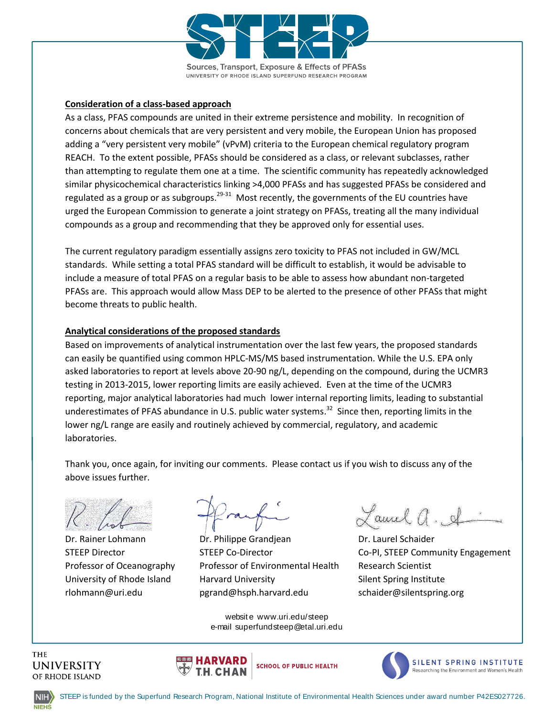

### **Consideration of a class-based approach**

As a class, PFAS compounds are united in their extreme persistence and mobility. In recognition of concerns about chemicals that are very persistent and very mobile, the European Union has proposed adding a "very persistent very mobile" (vPvM) criteria to the European chemical regulatory program REACH. To the extent possible, PFASs should be considered as a class, or relevant subclasses, rather than attempting to regulate them one at a time. The scientific community has repeatedly acknowledged similar physicochemical characteristics linking >4,000 PFASs and has suggested PFASs be considered and regulated as a group or as subgroups.<sup>[29-31](#page-6-0)</sup> Most recently, the governments of the EU countries have urged the European Commission to generate a joint strategy on PFASs, treating all the many individual compounds as a group and recommending that they be approved only for essential uses.

The current regulatory paradigm essentially assigns zero toxicity to PFAS not included in GW/MCL standards. While setting a total PFAS standard will be difficult to establish, it would be advisable to include a measure of total PFAS on a regular basis to be able to assess how abundant non-targeted PFASs are. This approach would allow Mass DEP to be alerted to the presence of other PFASs that might become threats to public health.

#### **Analytical considerations of the proposed standards**

Based on improvements of analytical instrumentation over the last few years, the proposed standards can easily be quantified using common HPLC-MS/MS based instrumentation. While the U.S. EPA only asked laboratories to report at levels above 20-90 ng/L, depending on the compound, during the UCMR3 testing in 2013-2015, lower reporting limits are easily achieved. Even at the time of the UCMR3 reporting, major analytical laboratories had much lower internal reporting limits, leading to substantial underestimates of PFAS abundance in U.S. public water systems.<sup>[32](#page-6-1)</sup> Since then, reporting limits in the lower ng/L range are easily and routinely achieved by commercial, regulatory, and academic laboratories.

Thank you, once again, for inviting our comments. Please contact us if you wish to discuss any of the above issues further.

ilippe Grandjean<br>Co-Director<br>sor of Environmental Hea<br>rd University<br>d@hsph.harvard.edu rlohmann@uri.edu pgrand@hsph.harvard.edu schaider@silentspring.org ptessor of Environmental Health<br>rvard University<br>rand@hsph.harvard.edu<br>website www.uri.edu/steep<br>e-mail superfundsteep@etal.uri.edu Dr. Rainer Lohmann Dr. Philippe Grandjean Dr. Laurel Schaider Professor of Oceanography Professor of Environmental Health Research Scientist University of Rhode Island Harvard University The Silent Spring Institute

Laurel a. A

STEEP Director **STEEP Co-Director** Co-PI, STEEP Community Engagement

**THE** 





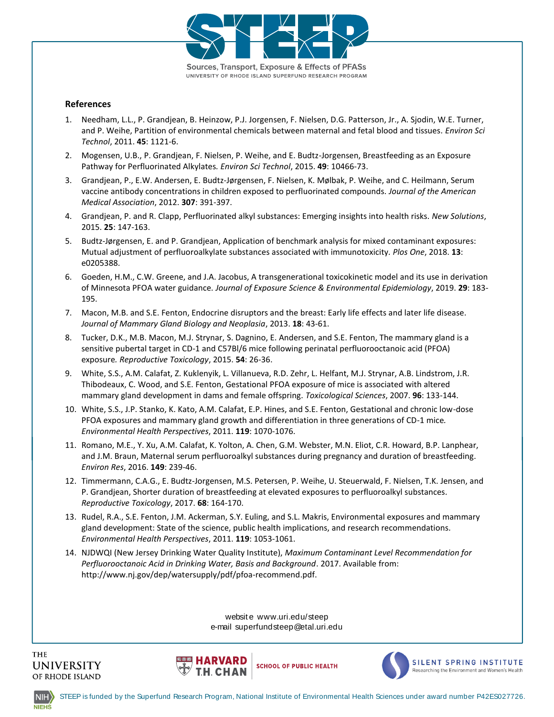

#### **References**

- <span id="page-4-0"></span>1. Needham, L.L., P. Grandjean, B. Heinzow, P.J. Jorgensen, F. Nielsen, D.G. Patterson, Jr., A. Sjodin, W.E. Turner, and P. Weihe, Partition of environmental chemicals between maternal and fetal blood and tissues*. Environ Sci Technol*, 2011. **45**: 1121-6.
- <span id="page-4-1"></span>2. Mogensen, U.B., P. Grandjean, F. Nielsen, P. Weihe, and E. Budtz-Jorgensen, Breastfeeding as an Exposure Pathway for Perfluorinated Alkylates*. Environ Sci Technol*, 2015. **49**: 10466-73.
- <span id="page-4-2"></span>3. Grandjean, P., E.W. Andersen, E. Budtz-Jørgensen, F. Nielsen, K. Mølbak, P. Weihe, and C. Heilmann, Serum vaccine antibody concentrations in children exposed to perfluorinated compounds. *Journal of the American Medical Association*, 2012. **307**: 391-397.
- <span id="page-4-3"></span>4. Grandjean, P. and R. Clapp, Perfluorinated alkyl substances: Emerging insights into health risks*. New Solutions*, 2015. **25**: 147-163.
- <span id="page-4-4"></span>5. Budtz-Jørgensen, E. and P. Grandjean, Application of benchmark analysis for mixed contaminant exposures: Mutual adjustment of perfluoroalkylate substances associated with immunotoxicity*. Plos One*, 2018. **13**: e0205388.
- <span id="page-4-5"></span>6. Goeden, H.M., C.W. Greene, and J.A. Jacobus, A transgenerational toxicokinetic model and its use in derivation of Minnesota PFOA water guidance*. Journal of Exposure Science & Environmental Epidemiology*, 2019. **29**: 183- 195.
- <span id="page-4-6"></span>7. Macon, M.B. and S.E. Fenton, Endocrine disruptors and the breast: Early life effects and later life disease*. Journal of Mammary Gland Biology and Neoplasia*, 2013. **18**: 43-61.
- 8. Tucker, D.K., M.B. Macon, M.J. Strynar, S. Dagnino, E. Andersen, and S.E. Fenton, The mammary gland is a sensitive pubertal target in CD-1 and C57Bl/6 mice following perinatal perfluorooctanoic acid (PFOA) exposure*. Reproductive Toxicology*, 2015. **54**: 26-36.
- <span id="page-4-7"></span>9. White, S.S., A.M. Calafat, Z. Kuklenyik, L. Villanueva, R.D. Zehr, L. Helfant, M.J. Strynar, A.B. Lindstrom, J.R. Thibodeaux, C. Wood, and S.E. Fenton, Gestational PFOA exposure of mice is associated with altered mammary gland development in dams and female offspring*. Toxicological Sciences*, 2007. **96**: 133-144.
- 10. White, S.S., J.P. Stanko, K. Kato, A.M. Calafat, E.P. Hines, and S.E. Fenton, Gestational and chronic low-dose PFOA exposures and mammary gland growth and differentiation in three generations of CD-1 mice*. Environmental Health Perspectives*, 2011. **119**: 1070-1076.
- <span id="page-4-8"></span>11. Romano, M.E., Y. Xu, A.M. Calafat, K. Yolton, A. Chen, G.M. Webster, M.N. Eliot, C.R. Howard, B.P. Lanphear, and J.M. Braun, Maternal serum perfluoroalkyl substances during pregnancy and duration of breastfeeding*. Environ Res*, 2016. **149**: 239-46.
- <span id="page-4-9"></span>12. Timmermann, C.A.G., E. Budtz-Jorgensen, M.S. Petersen, P. Weihe, U. Steuerwald, F. Nielsen, T.K. Jensen, and P. Grandjean, Shorter duration of breastfeeding at elevated exposures to perfluoroalkyl substances*. Reproductive Toxicology*, 2017. **68**: 164-170.
- <span id="page-4-10"></span>13. Rudel, R.A., S.E. Fenton, J.M. Ackerman, S.Y. Euling, and S.L. Makris, Environmental exposures and mammary gland development: State of the science, public health implications, and research recommendations*. Environmental Health Perspectives*, 2011. **119**: 1053-1061.
- <span id="page-4-11"></span>11. **119**: 1053-1061.<br>uality Institute), *Maximum C<br>er, Basis and Background*. 2C<br>df/pfoa-recommend.pdf. 14. NJDWQI (New Jersey Drinking Water Quality Institute), *Maximum Contaminant Level Recommendation for Perfluorooctanoic Acid in Drinking Water, Basis and Background*. 2017. Available from: http://www.nj.gov/dep/watersupply/pdf/pfoa-recommend.pdf.

w*uter, Busis und Buckground. 2017.*<br>ly/pdf/pfoa-recommend.pdf.<br>website www.uri.edu/steep<br>e-mail superfundsteep@etal.uri.edu







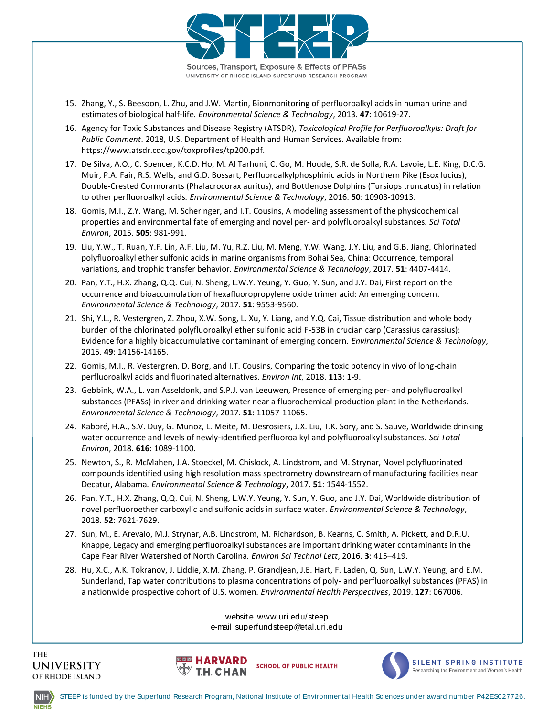

Sources, Transport, Exposure & Effects of PFASs UNIVERSITY OF RHODE ISLAND SUPERFUND RESEARCH PROGRAM

- <span id="page-5-0"></span>15. Zhang, Y., S. Beesoon, L. Zhu, and J.W. Martin, Bionmonitoring of perfluoroalkyl acids in human urine and estimates of biological half-life*. Environmental Science & Technology*, 2013. **47**: 10619-27.
- <span id="page-5-1"></span>16. Agency for Toxic Substances and Disease Registry (ATSDR), *Toxicological Profile for Perfluoroalkyls: Draft for Public Comment*. 2018, U.S. Department of Health and Human Services. Available from: https://www.atsdr.cdc.gov/toxprofiles/tp200.pdf.
- <span id="page-5-2"></span>17. De Silva, A.O., C. Spencer, K.C.D. Ho, M. Al Tarhuni, C. Go, M. Houde, S.R. de Solla, R.A. Lavoie, L.E. King, D.C.G. Muir, P.A. Fair, R.S. Wells, and G.D. Bossart, Perfluoroalkylphosphinic acids in Northern Pike (Esox lucius), Double-Crested Cormorants (Phalacrocorax auritus), and Bottlenose Dolphins (Tursiops truncatus) in relation to other perfluoroalkyl acids*. Environmental Science & Technology*, 2016. **50**: 10903-10913.
- 18. Gomis, M.I., Z.Y. Wang, M. Scheringer, and I.T. Cousins, A modeling assessment of the physicochemical properties and environmental fate of emerging and novel per- and polyfluoroalkyl substances*. Sci Total Environ*, 2015. **505**: 981-991.
- 19. Liu, Y.W., T. Ruan, Y.F. Lin, A.F. Liu, M. Yu, R.Z. Liu, M. Meng, Y.W. Wang, J.Y. Liu, and G.B. Jiang, Chlorinated polyfluoroalkyl ether sulfonic acids in marine organisms from Bohai Sea, China: Occurrence, temporal variations, and trophic transfer behavior*. Environmental Science & Technology*, 2017. **51**: 4407-4414.
- 20. Pan, Y.T., H.X. Zhang, Q.Q. Cui, N. Sheng, L.W.Y. Yeung, Y. Guo, Y. Sun, and J.Y. Dai, First report on the occurrence and bioaccumulation of hexafluoropropylene oxide trimer acid: An emerging concern*. Environmental Science & Technology*, 2017. **51**: 9553-9560.
- 21. Shi, Y.L., R. Vestergren, Z. Zhou, X.W. Song, L. Xu, Y. Liang, and Y.Q. Cai, Tissue distribution and whole body burden of the chlorinated polyfluoroalkyl ether sulfonic acid F-53B in crucian carp (Carassius carassius): Evidence for a highly bioaccumulative contaminant of emerging concern*. Environmental Science & Technology*, 2015. **49**: 14156-14165.
- <span id="page-5-3"></span>22. Gomis, M.I., R. Vestergren, D. Borg, and I.T. Cousins, Comparing the toxic potency in vivo of long-chain perfluoroalkyl acids and fluorinated alternatives*. Environ Int*, 2018. **113**: 1-9.
- <span id="page-5-4"></span>23. Gebbink, W.A., L. van Asseldonk, and S.P.J. van Leeuwen, Presence of emerging per- and polyfluoroalkyl substances (PFASs) in river and drinking water near a fluorochemical production plant in the Netherlands*. Environmental Science & Technology*, 2017. **51**: 11057-11065.
- 24. Kaboré, H.A., S.V. Duy, G. Munoz, L. Meite, M. Desrosiers, J.X. Liu, T.K. Sory, and S. Sauve, Worldwide drinking water occurrence and levels of newly-identified perfluoroalkyl and polyfluoroalkyl substances*. Sci Total Environ*, 2018. **616**: 1089-1100.
- 25. Newton, S., R. McMahen, J.A. Stoeckel, M. Chislock, A. Lindstrom, and M. Strynar, Novel polyfluorinated compounds identified using high resolution mass spectrometry downstream of manufacturing facilities near Decatur, Alabama*. Environmental Science & Technology*, 2017. **51**: 1544-1552.
- 26. Pan, Y.T., H.X. Zhang, Q.Q. Cui, N. Sheng, L.W.Y. Yeung, Y. Sun, Y. Guo, and J.Y. Dai, Worldwide distribution of novel perfluoroether carboxylic and sulfonic acids in surface water*. Environmental Science & Technology*, 2018. **52**: 7621-7629.
- 27. Sun, M., E. Arevalo, M.J. Strynar, A.B. Lindstrom, M. Richardson, B. Kearns, C. Smith, A. Pickett, and D.R.U. Knappe, Legacy and emerging perfluoroalkyl substances are important drinking water contaminants in the Cape Fear River Watershed of North Carolina*. Environ Sci Technol Lett*, 2016. **3**: 415–419.
- <span id="page-5-5"></span>mastront, m. menardsont, b.<br>balkyl substances are import<br>rolina. *Environ Sci Technol Li*.<br>hang, P. Grandjean, J.E. Har<br>plasma concentrations of p<br>women. *Environmental Hed*. a nationwide prospective cohort of U.S. women*. Environmental Health Perspectives,* 2019. **127**: 067006. 28. Hu, X.C., A.K. Tokranov, J. Liddie, X.M. Zhang, P. Grandjean, J.E. Hart, F. Laden, Q. Sun, L.W.Y. Yeung, and E.M.<br>
Sunderland, Tap water contributions to plasma concentrations of poly- and perfluoroalkyl substances (PF Sunderland, Tap water contributions to plasma concentrations of poly- and perfluoroalkyl substances (PFAS) in